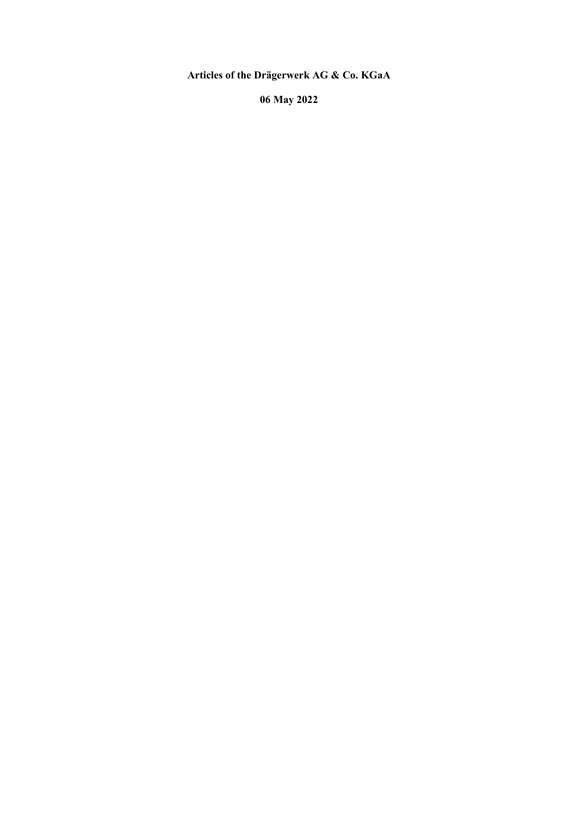**Articles of the Drägerwerk AG & Co. KGaA** 

**06 May 2022**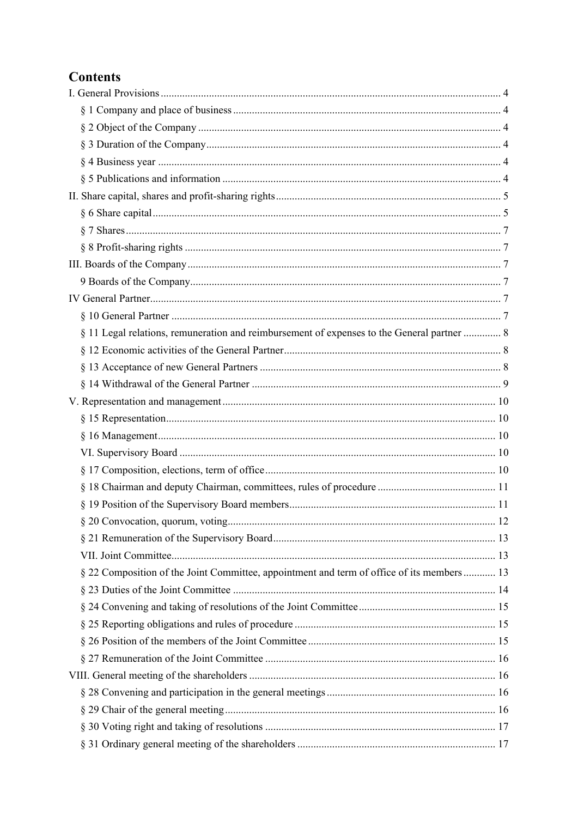# **Contents**

| § 11 Legal relations, remuneration and reimbursement of expenses to the General partner  8 |    |
|--------------------------------------------------------------------------------------------|----|
|                                                                                            |    |
|                                                                                            |    |
|                                                                                            |    |
|                                                                                            |    |
|                                                                                            |    |
|                                                                                            |    |
|                                                                                            |    |
|                                                                                            |    |
|                                                                                            |    |
|                                                                                            |    |
|                                                                                            | 12 |
|                                                                                            |    |
|                                                                                            |    |
| § 22 Composition of the Joint Committee, appointment and term of office of its members 13  |    |
|                                                                                            |    |
|                                                                                            |    |
|                                                                                            |    |
|                                                                                            |    |
|                                                                                            |    |
|                                                                                            |    |
|                                                                                            |    |
|                                                                                            |    |
|                                                                                            |    |
|                                                                                            |    |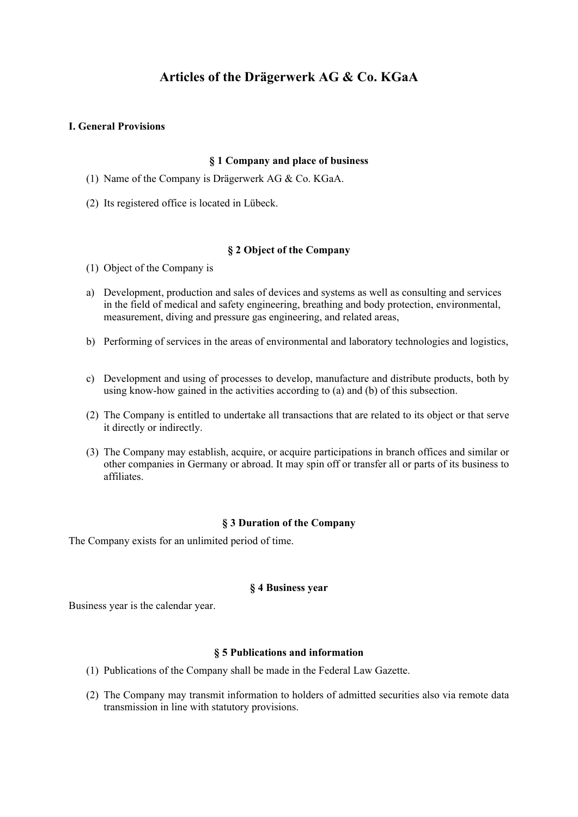## **Articles of the Drägerwerk AG & Co. KGaA**

## **I. General Provisions**

## **§ 1 Company and place of business**

- (1) Name of the Company is Drägerwerk AG & Co. KGaA.
- (2) Its registered office is located in Lübeck.

#### **§ 2 Object of the Company**

- (1) Object of the Company is
- a) Development, production and sales of devices and systems as well as consulting and services in the field of medical and safety engineering, breathing and body protection, environmental, measurement, diving and pressure gas engineering, and related areas,
- b) Performing of services in the areas of environmental and laboratory technologies and logistics,
- c) Development and using of processes to develop, manufacture and distribute products, both by using know-how gained in the activities according to (a) and (b) of this subsection.
- (2) The Company is entitled to undertake all transactions that are related to its object or that serve it directly or indirectly.
- (3) The Company may establish, acquire, or acquire participations in branch offices and similar or other companies in Germany or abroad. It may spin off or transfer all or parts of its business to affiliates.

#### **§ 3 Duration of the Company**

The Company exists for an unlimited period of time.

#### **§ 4 Business year**

Business year is the calendar year.

## **§ 5 Publications and information**

- (1) Publications of the Company shall be made in the Federal Law Gazette.
- (2) The Company may transmit information to holders of admitted securities also via remote data transmission in line with statutory provisions.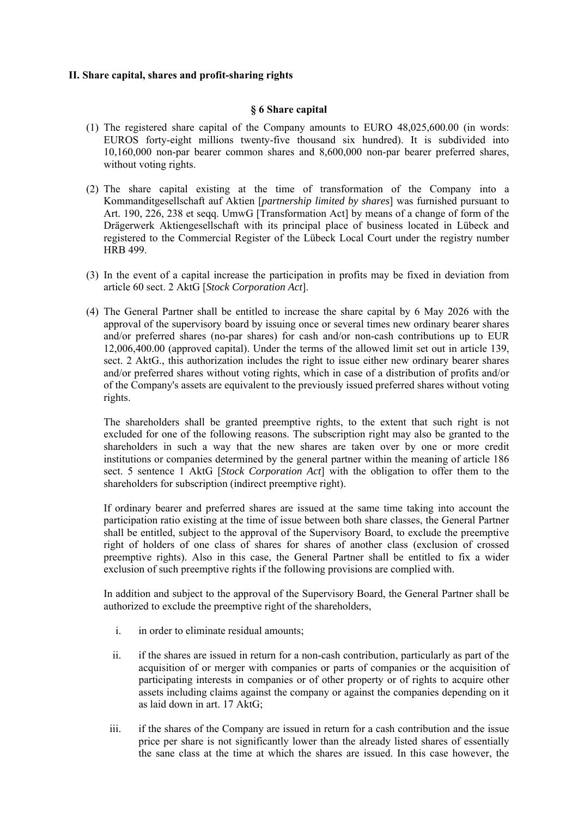## **II. Share capital, shares and profit-sharing rights**

## **§ 6 Share capital**

- (1) The registered share capital of the Company amounts to EURO 48,025,600.00 (in words: EUROS forty-eight millions twenty-five thousand six hundred). It is subdivided into 10,160,000 non-par bearer common shares and 8,600,000 non-par bearer preferred shares, without voting rights.
- (2) The share capital existing at the time of transformation of the Company into a Kommanditgesellschaft auf Aktien [*partnership limited by shares*] was furnished pursuant to Art. 190, 226, 238 et seqq. UmwG [Transformation Act] by means of a change of form of the Drägerwerk Aktiengesellschaft with its principal place of business located in Lübeck and registered to the Commercial Register of the Lübeck Local Court under the registry number HRB 499.
- (3) In the event of a capital increase the participation in profits may be fixed in deviation from article 60 sect. 2 AktG [*Stock Corporation Act*].
- (4) The General Partner shall be entitled to increase the share capital by 6 May 2026 with the approval of the supervisory board by issuing once or several times new ordinary bearer shares and/or preferred shares (no-par shares) for cash and/or non-cash contributions up to EUR 12,006,400.00 (approved capital). Under the terms of the allowed limit set out in article 139, sect. 2 AktG., this authorization includes the right to issue either new ordinary bearer shares and/or preferred shares without voting rights, which in case of a distribution of profits and/or of the Company's assets are equivalent to the previously issued preferred shares without voting rights.

The shareholders shall be granted preemptive rights, to the extent that such right is not excluded for one of the following reasons. The subscription right may also be granted to the shareholders in such a way that the new shares are taken over by one or more credit institutions or companies determined by the general partner within the meaning of article 186 sect. 5 sentence 1 AktG [*Stock Corporation Act*] with the obligation to offer them to the shareholders for subscription (indirect preemptive right).

If ordinary bearer and preferred shares are issued at the same time taking into account the participation ratio existing at the time of issue between both share classes, the General Partner shall be entitled, subject to the approval of the Supervisory Board, to exclude the preemptive right of holders of one class of shares for shares of another class (exclusion of crossed preemptive rights). Also in this case, the General Partner shall be entitled to fix a wider exclusion of such preemptive rights if the following provisions are complied with.

In addition and subject to the approval of the Supervisory Board, the General Partner shall be authorized to exclude the preemptive right of the shareholders,

- i. in order to eliminate residual amounts;
- ii. if the shares are issued in return for a non-cash contribution, particularly as part of the acquisition of or merger with companies or parts of companies or the acquisition of participating interests in companies or of other property or of rights to acquire other assets including claims against the company or against the companies depending on it as laid down in art. 17 AktG;
- iii. if the shares of the Company are issued in return for a cash contribution and the issue price per share is not significantly lower than the already listed shares of essentially the sane class at the time at which the shares are issued. In this case however, the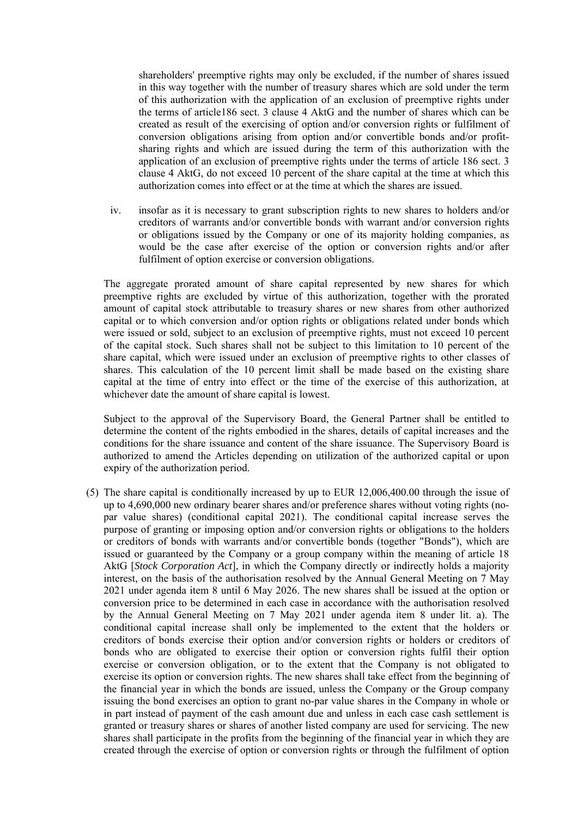shareholders' preemptive rights may only be excluded, if the number of shares issued in this way together with the number of treasury shares which are sold under the term of this authorization with the application of an exclusion of preemptive rights under the terms of article186 sect. 3 clause 4 AktG and the number of shares which can be created as result of the exercising of option and/or conversion rights or fulfilment of conversion obligations arising from option and/or convertible bonds and/or profitsharing rights and which are issued during the term of this authorization with the application of an exclusion of preemptive rights under the terms of article 186 sect. 3 clause 4 AktG, do not exceed 10 percent of the share capital at the time at which this authorization comes into effect or at the time at which the shares are issued.

iv. insofar as it is necessary to grant subscription rights to new shares to holders and/or creditors of warrants and/or convertible bonds with warrant and/or conversion rights or obligations issued by the Company or one of its majority holding companies, as would be the case after exercise of the option or conversion rights and/or after fulfilment of option exercise or conversion obligations.

The aggregate prorated amount of share capital represented by new shares for which preemptive rights are excluded by virtue of this authorization, together with the prorated amount of capital stock attributable to treasury shares or new shares from other authorized capital or to which conversion and/or option rights or obligations related under bonds which were issued or sold, subject to an exclusion of preemptive rights, must not exceed 10 percent of the capital stock. Such shares shall not be subject to this limitation to 10 percent of the share capital, which were issued under an exclusion of preemptive rights to other classes of shares. This calculation of the 10 percent limit shall be made based on the existing share capital at the time of entry into effect or the time of the exercise of this authorization, at whichever date the amount of share capital is lowest.

Subject to the approval of the Supervisory Board, the General Partner shall be entitled to determine the content of the rights embodied in the shares, details of capital increases and the conditions for the share issuance and content of the share issuance. The Supervisory Board is authorized to amend the Articles depending on utilization of the authorized capital or upon expiry of the authorization period.

(5) The share capital is conditionally increased by up to EUR 12,006,400.00 through the issue of up to 4,690,000 new ordinary bearer shares and/or preference shares without voting rights (nopar value shares) (conditional capital 2021). The conditional capital increase serves the purpose of granting or imposing option and/or conversion rights or obligations to the holders or creditors of bonds with warrants and/or convertible bonds (together "Bonds"), which are issued or guaranteed by the Company or a group company within the meaning of article 18 AktG [*Stock Corporation Act*], in which the Company directly or indirectly holds a majority interest, on the basis of the authorisation resolved by the Annual General Meeting on 7 May 2021 under agenda item 8 until 6 May 2026. The new shares shall be issued at the option or conversion price to be determined in each case in accordance with the authorisation resolved by the Annual General Meeting on 7 May 2021 under agenda item 8 under lit. a). The conditional capital increase shall only be implemented to the extent that the holders or creditors of bonds exercise their option and/or conversion rights or holders or creditors of bonds who are obligated to exercise their option or conversion rights fulfil their option exercise or conversion obligation, or to the extent that the Company is not obligated to exercise its option or conversion rights. The new shares shall take effect from the beginning of the financial year in which the bonds are issued, unless the Company or the Group company issuing the bond exercises an option to grant no-par value shares in the Company in whole or in part instead of payment of the cash amount due and unless in each case cash settlement is granted or treasury shares or shares of another listed company are used for servicing. The new shares shall participate in the profits from the beginning of the financial year in which they are created through the exercise of option or conversion rights or through the fulfilment of option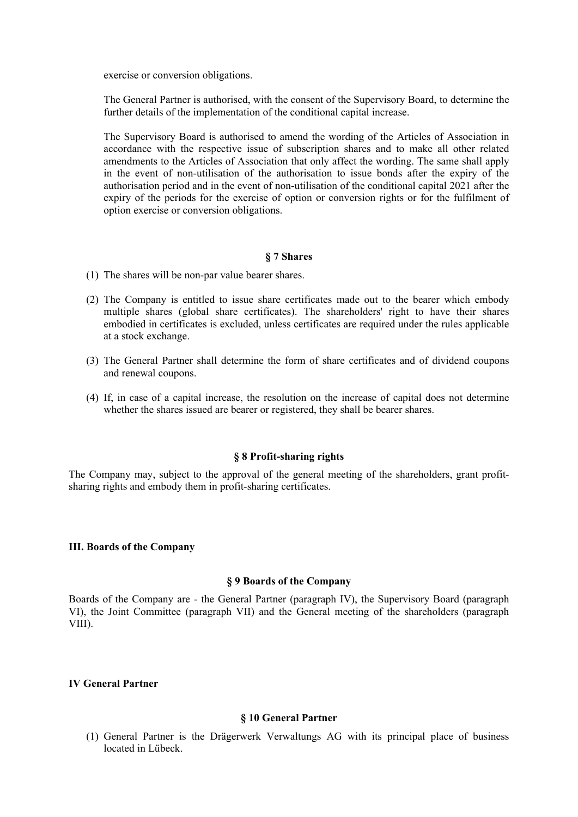exercise or conversion obligations.

The General Partner is authorised, with the consent of the Supervisory Board, to determine the further details of the implementation of the conditional capital increase.

The Supervisory Board is authorised to amend the wording of the Articles of Association in accordance with the respective issue of subscription shares and to make all other related amendments to the Articles of Association that only affect the wording. The same shall apply in the event of non-utilisation of the authorisation to issue bonds after the expiry of the authorisation period and in the event of non-utilisation of the conditional capital 2021 after the expiry of the periods for the exercise of option or conversion rights or for the fulfilment of option exercise or conversion obligations.

#### **§ 7 Shares**

- (1) The shares will be non-par value bearer shares.
- (2) The Company is entitled to issue share certificates made out to the bearer which embody multiple shares (global share certificates). The shareholders' right to have their shares embodied in certificates is excluded, unless certificates are required under the rules applicable at a stock exchange.
- (3) The General Partner shall determine the form of share certificates and of dividend coupons and renewal coupons.
- (4) If, in case of a capital increase, the resolution on the increase of capital does not determine whether the shares issued are bearer or registered, they shall be bearer shares.

## **§ 8 Profit-sharing rights**

The Company may, subject to the approval of the general meeting of the shareholders, grant profitsharing rights and embody them in profit-sharing certificates.

#### **III. Boards of the Company**

## **§ 9 Boards of the Company**

Boards of the Company are - the General Partner (paragraph IV), the Supervisory Board (paragraph VI), the Joint Committee (paragraph VII) and the General meeting of the shareholders (paragraph VIII).

## **IV General Partner**

#### **§ 10 General Partner**

(1) General Partner is the Drägerwerk Verwaltungs AG with its principal place of business located in Lübeck.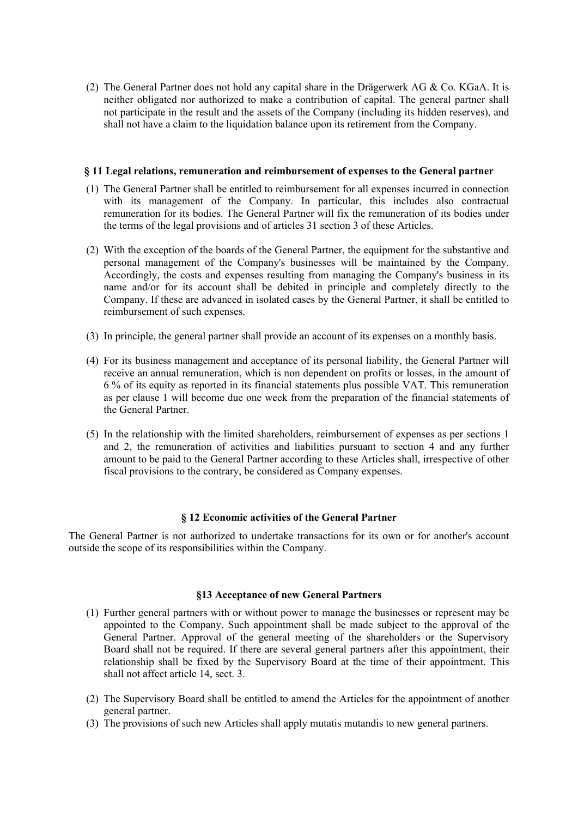(2) The General Partner does not hold any capital share in the Drägerwerk AG & Co. KGaA. It is neither obligated nor authorized to make a contribution of capital. The general partner shall not participate in the result and the assets of the Company (including its hidden reserves), and shall not have a claim to the liquidation balance upon its retirement from the Company.

#### **§ 11 Legal relations, remuneration and reimbursement of expenses to the General partner**

- (1) The General Partner shall be entitled to reimbursement for all expenses incurred in connection with its management of the Company. In particular, this includes also contractual remuneration for its bodies. The General Partner will fix the remuneration of its bodies under the terms of the legal provisions and of articles 31 section 3 of these Articles.
- (2) With the exception of the boards of the General Partner, the equipment for the substantive and personal management of the Company's businesses will be maintained by the Company. Accordingly, the costs and expenses resulting from managing the Company's business in its name and/or for its account shall be debited in principle and completely directly to the Company. If these are advanced in isolated cases by the General Partner, it shall be entitled to reimbursement of such expenses.
- (3) In principle, the general partner shall provide an account of its expenses on a monthly basis.
- (4) For its business management and acceptance of its personal liability, the General Partner will receive an annual remuneration, which is non dependent on profits or losses, in the amount of 6 % of its equity as reported in its financial statements plus possible VAT. This remuneration as per clause 1 will become due one week from the preparation of the financial statements of the General Partner.
- (5) In the relationship with the limited shareholders, reimbursement of expenses as per sections 1 and 2, the remuneration of activities and liabilities pursuant to section 4 and any further amount to be paid to the General Partner according to these Articles shall, irrespective of other fiscal provisions to the contrary, be considered as Company expenses.

## **§ 12 Economic activities of the General Partner**

The General Partner is not authorized to undertake transactions for its own or for another's account outside the scope of its responsibilities within the Company.

## **§13 Acceptance of new General Partners**

- (1) Further general partners with or without power to manage the businesses or represent may be appointed to the Company. Such appointment shall be made subject to the approval of the General Partner. Approval of the general meeting of the shareholders or the Supervisory Board shall not be required. If there are several general partners after this appointment, their relationship shall be fixed by the Supervisory Board at the time of their appointment. This shall not affect article 14, sect. 3.
- (2) The Supervisory Board shall be entitled to amend the Articles for the appointment of another general partner.
- (3) The provisions of such new Articles shall apply mutatis mutandis to new general partners.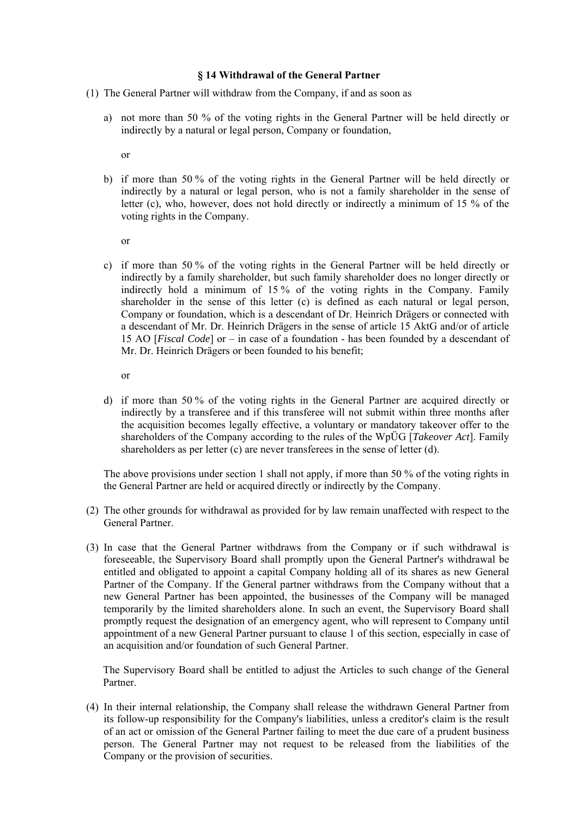#### **§ 14 Withdrawal of the General Partner**

- (1) The General Partner will withdraw from the Company, if and as soon as
	- a) not more than 50 % of the voting rights in the General Partner will be held directly or indirectly by a natural or legal person, Company or foundation,

or

b) if more than 50 % of the voting rights in the General Partner will be held directly or indirectly by a natural or legal person, who is not a family shareholder in the sense of letter (c), who, however, does not hold directly or indirectly a minimum of 15 % of the voting rights in the Company.

or

c) if more than 50 % of the voting rights in the General Partner will be held directly or indirectly by a family shareholder, but such family shareholder does no longer directly or indirectly hold a minimum of 15 % of the voting rights in the Company. Family shareholder in the sense of this letter (c) is defined as each natural or legal person, Company or foundation, which is a descendant of Dr. Heinrich Drägers or connected with a descendant of Mr. Dr. Heinrich Drägers in the sense of article 15 AktG and/or of article 15 AO [*Fiscal Code*] or – in case of a foundation - has been founded by a descendant of Mr. Dr. Heinrich Drägers or been founded to his benefit;

or

d) if more than 50 % of the voting rights in the General Partner are acquired directly or indirectly by a transferee and if this transferee will not submit within three months after the acquisition becomes legally effective, a voluntary or mandatory takeover offer to the shareholders of the Company according to the rules of the WpÜG [*Takeover Act*]. Family shareholders as per letter  $(c)$  are never transferees in the sense of letter  $(d)$ .

The above provisions under section 1 shall not apply, if more than 50 % of the voting rights in the General Partner are held or acquired directly or indirectly by the Company.

- (2) The other grounds for withdrawal as provided for by law remain unaffected with respect to the General Partner.
- (3) In case that the General Partner withdraws from the Company or if such withdrawal is foreseeable, the Supervisory Board shall promptly upon the General Partner's withdrawal be entitled and obligated to appoint a capital Company holding all of its shares as new General Partner of the Company. If the General partner withdraws from the Company without that a new General Partner has been appointed, the businesses of the Company will be managed temporarily by the limited shareholders alone. In such an event, the Supervisory Board shall promptly request the designation of an emergency agent, who will represent to Company until appointment of a new General Partner pursuant to clause 1 of this section, especially in case of an acquisition and/or foundation of such General Partner.

The Supervisory Board shall be entitled to adjust the Articles to such change of the General Partner.

(4) In their internal relationship, the Company shall release the withdrawn General Partner from its follow-up responsibility for the Company's liabilities, unless a creditor's claim is the result of an act or omission of the General Partner failing to meet the due care of a prudent business person. The General Partner may not request to be released from the liabilities of the Company or the provision of securities.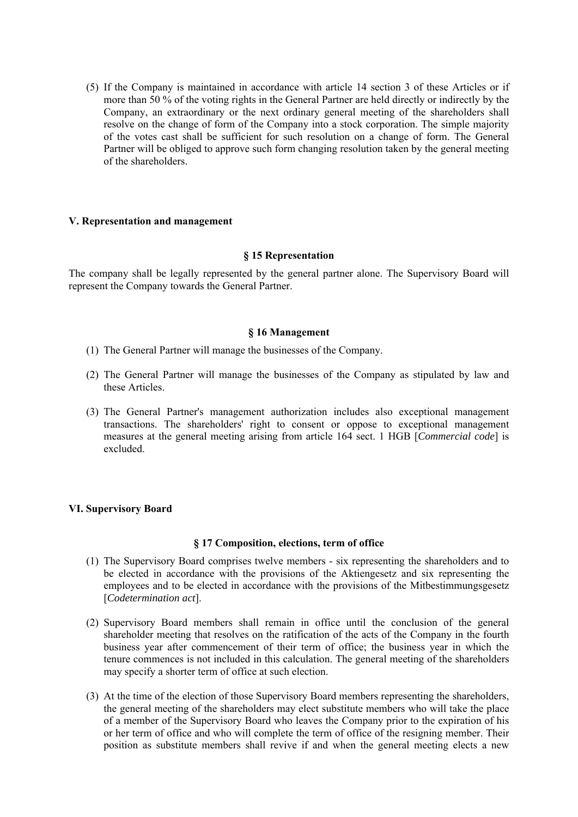(5) If the Company is maintained in accordance with article 14 section 3 of these Articles or if more than 50 % of the voting rights in the General Partner are held directly or indirectly by the Company, an extraordinary or the next ordinary general meeting of the shareholders shall resolve on the change of form of the Company into a stock corporation. The simple majority of the votes cast shall be sufficient for such resolution on a change of form. The General Partner will be obliged to approve such form changing resolution taken by the general meeting of the shareholders.

#### **V. Representation and management**

#### **§ 15 Representation**

The company shall be legally represented by the general partner alone. The Supervisory Board will represent the Company towards the General Partner.

#### **§ 16 Management**

- (1) The General Partner will manage the businesses of the Company.
- (2) The General Partner will manage the businesses of the Company as stipulated by law and these Articles.
- (3) The General Partner's management authorization includes also exceptional management transactions. The shareholders' right to consent or oppose to exceptional management measures at the general meeting arising from article 164 sect. 1 HGB [*Commercial code*] is excluded.

## **VI. Supervisory Board**

#### **§ 17 Composition, elections, term of office**

- (1) The Supervisory Board comprises twelve members six representing the shareholders and to be elected in accordance with the provisions of the Aktiengesetz and six representing the employees and to be elected in accordance with the provisions of the Mitbestimmungsgesetz [*Codetermination act*].
- (2) Supervisory Board members shall remain in office until the conclusion of the general shareholder meeting that resolves on the ratification of the acts of the Company in the fourth business year after commencement of their term of office; the business year in which the tenure commences is not included in this calculation. The general meeting of the shareholders may specify a shorter term of office at such election.
- (3) At the time of the election of those Supervisory Board members representing the shareholders, the general meeting of the shareholders may elect substitute members who will take the place of a member of the Supervisory Board who leaves the Company prior to the expiration of his or her term of office and who will complete the term of office of the resigning member. Their position as substitute members shall revive if and when the general meeting elects a new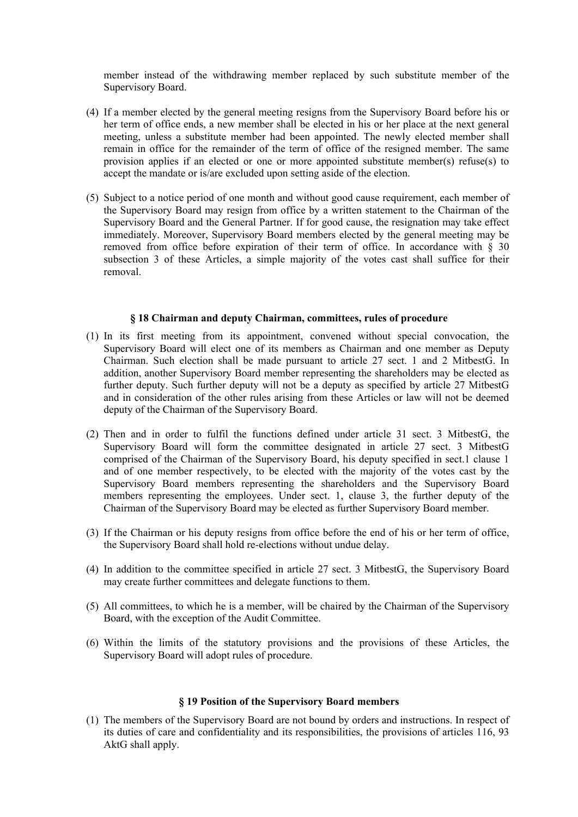member instead of the withdrawing member replaced by such substitute member of the Supervisory Board.

- (4) If a member elected by the general meeting resigns from the Supervisory Board before his or her term of office ends, a new member shall be elected in his or her place at the next general meeting, unless a substitute member had been appointed. The newly elected member shall remain in office for the remainder of the term of office of the resigned member. The same provision applies if an elected or one or more appointed substitute member(s) refuse(s) to accept the mandate or is/are excluded upon setting aside of the election.
- (5) Subject to a notice period of one month and without good cause requirement, each member of the Supervisory Board may resign from office by a written statement to the Chairman of the Supervisory Board and the General Partner. If for good cause, the resignation may take effect immediately. Moreover, Supervisory Board members elected by the general meeting may be removed from office before expiration of their term of office. In accordance with  $\S$  30 subsection 3 of these Articles, a simple majority of the votes cast shall suffice for their removal.

#### **§ 18 Chairman and deputy Chairman, committees, rules of procedure**

- (1) In its first meeting from its appointment, convened without special convocation, the Supervisory Board will elect one of its members as Chairman and one member as Deputy Chairman. Such election shall be made pursuant to article 27 sect. 1 and 2 MitbestG. In addition, another Supervisory Board member representing the shareholders may be elected as further deputy. Such further deputy will not be a deputy as specified by article 27 MitbestG and in consideration of the other rules arising from these Articles or law will not be deemed deputy of the Chairman of the Supervisory Board.
- (2) Then and in order to fulfil the functions defined under article 31 sect. 3 MitbestG, the Supervisory Board will form the committee designated in article 27 sect. 3 MitbestG comprised of the Chairman of the Supervisory Board, his deputy specified in sect.1 clause 1 and of one member respectively, to be elected with the majority of the votes cast by the Supervisory Board members representing the shareholders and the Supervisory Board members representing the employees. Under sect. 1, clause 3, the further deputy of the Chairman of the Supervisory Board may be elected as further Supervisory Board member.
- (3) If the Chairman or his deputy resigns from office before the end of his or her term of office, the Supervisory Board shall hold re-elections without undue delay.
- (4) In addition to the committee specified in article 27 sect. 3 MitbestG, the Supervisory Board may create further committees and delegate functions to them.
- (5) All committees, to which he is a member, will be chaired by the Chairman of the Supervisory Board, with the exception of the Audit Committee.
- (6) Within the limits of the statutory provisions and the provisions of these Articles, the Supervisory Board will adopt rules of procedure.

## **§ 19 Position of the Supervisory Board members**

(1) The members of the Supervisory Board are not bound by orders and instructions. In respect of its duties of care and confidentiality and its responsibilities, the provisions of articles 116, 93 AktG shall apply.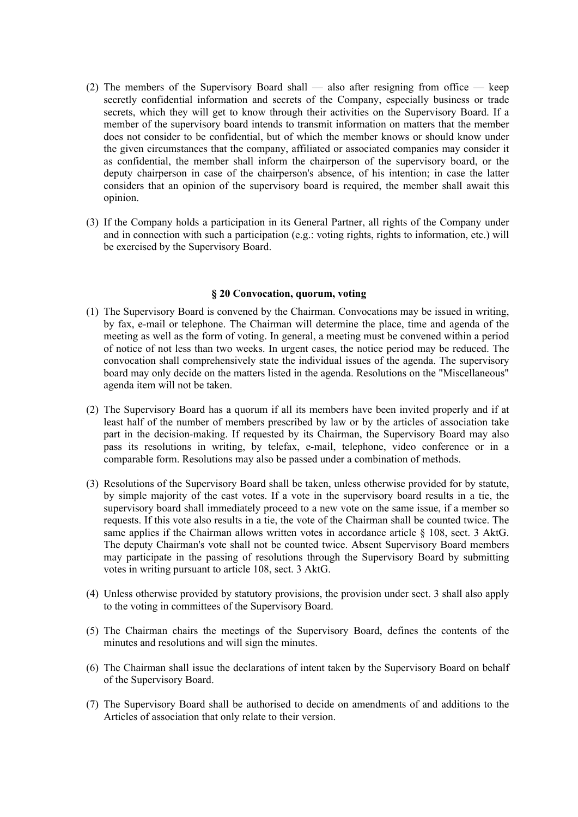- (2) The members of the Supervisory Board shall also after resigning from office keep secretly confidential information and secrets of the Company, especially business or trade secrets, which they will get to know through their activities on the Supervisory Board. If a member of the supervisory board intends to transmit information on matters that the member does not consider to be confidential, but of which the member knows or should know under the given circumstances that the company, affiliated or associated companies may consider it as confidential, the member shall inform the chairperson of the supervisory board, or the deputy chairperson in case of the chairperson's absence, of his intention; in case the latter considers that an opinion of the supervisory board is required, the member shall await this opinion.
- (3) If the Company holds a participation in its General Partner, all rights of the Company under and in connection with such a participation (e.g.: voting rights, rights to information, etc.) will be exercised by the Supervisory Board.

#### **§ 20 Convocation, quorum, voting**

- (1) The Supervisory Board is convened by the Chairman. Convocations may be issued in writing, by fax, e-mail or telephone. The Chairman will determine the place, time and agenda of the meeting as well as the form of voting. In general, a meeting must be convened within a period of notice of not less than two weeks. In urgent cases, the notice period may be reduced. The convocation shall comprehensively state the individual issues of the agenda. The supervisory board may only decide on the matters listed in the agenda. Resolutions on the "Miscellaneous" agenda item will not be taken.
- (2) The Supervisory Board has a quorum if all its members have been invited properly and if at least half of the number of members prescribed by law or by the articles of association take part in the decision-making. If requested by its Chairman, the Supervisory Board may also pass its resolutions in writing, by telefax, e-mail, telephone, video conference or in a comparable form. Resolutions may also be passed under a combination of methods.
- (3) Resolutions of the Supervisory Board shall be taken, unless otherwise provided for by statute, by simple majority of the cast votes. If a vote in the supervisory board results in a tie, the supervisory board shall immediately proceed to a new vote on the same issue, if a member so requests. If this vote also results in a tie, the vote of the Chairman shall be counted twice. The same applies if the Chairman allows written votes in accordance article § 108, sect. 3 AktG. The deputy Chairman's vote shall not be counted twice. Absent Supervisory Board members may participate in the passing of resolutions through the Supervisory Board by submitting votes in writing pursuant to article 108, sect. 3 AktG.
- (4) Unless otherwise provided by statutory provisions, the provision under sect. 3 shall also apply to the voting in committees of the Supervisory Board.
- (5) The Chairman chairs the meetings of the Supervisory Board, defines the contents of the minutes and resolutions and will sign the minutes.
- (6) The Chairman shall issue the declarations of intent taken by the Supervisory Board on behalf of the Supervisory Board.
- (7) The Supervisory Board shall be authorised to decide on amendments of and additions to the Articles of association that only relate to their version.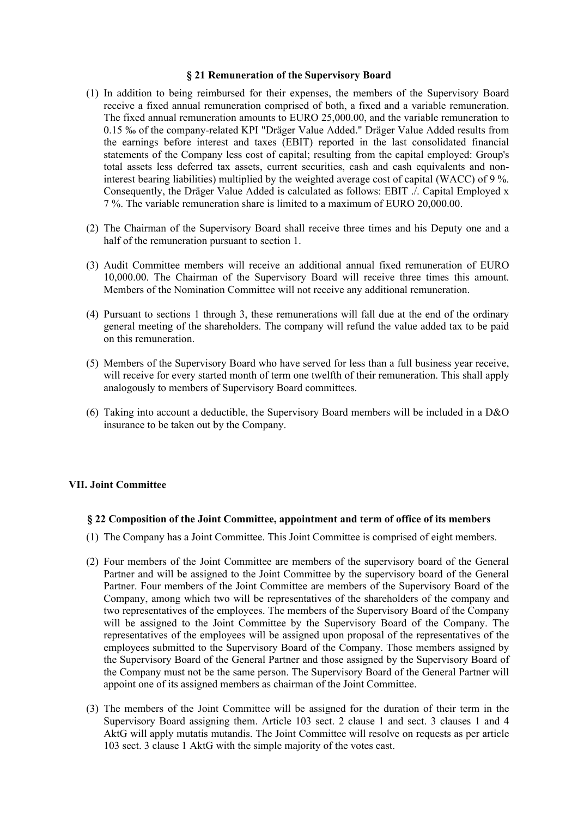#### **§ 21 Remuneration of the Supervisory Board**

- (1) In addition to being reimbursed for their expenses, the members of the Supervisory Board receive a fixed annual remuneration comprised of both, a fixed and a variable remuneration. The fixed annual remuneration amounts to EURO 25,000.00, and the variable remuneration to 0.15 ‰ of the company-related KPI "Dräger Value Added." Dräger Value Added results from the earnings before interest and taxes (EBIT) reported in the last consolidated financial statements of the Company less cost of capital; resulting from the capital employed: Group's total assets less deferred tax assets, current securities, cash and cash equivalents and noninterest bearing liabilities) multiplied by the weighted average cost of capital (WACC) of 9 %. Consequently, the Dräger Value Added is calculated as follows: EBIT ./. Capital Employed x 7 %. The variable remuneration share is limited to a maximum of EURO 20,000.00.
- (2) The Chairman of the Supervisory Board shall receive three times and his Deputy one and a half of the remuneration pursuant to section 1.
- (3) Audit Committee members will receive an additional annual fixed remuneration of EURO 10,000.00. The Chairman of the Supervisory Board will receive three times this amount. Members of the Nomination Committee will not receive any additional remuneration.
- (4) Pursuant to sections 1 through 3, these remunerations will fall due at the end of the ordinary general meeting of the shareholders. The company will refund the value added tax to be paid on this remuneration.
- (5) Members of the Supervisory Board who have served for less than a full business year receive, will receive for every started month of term one twelfth of their remuneration. This shall apply analogously to members of Supervisory Board committees.
- (6) Taking into account a deductible, the Supervisory Board members will be included in a D&O insurance to be taken out by the Company.

## **VII. Joint Committee**

#### **§ 22 Composition of the Joint Committee, appointment and term of office of its members**

- (1) The Company has a Joint Committee. This Joint Committee is comprised of eight members.
- (2) Four members of the Joint Committee are members of the supervisory board of the General Partner and will be assigned to the Joint Committee by the supervisory board of the General Partner. Four members of the Joint Committee are members of the Supervisory Board of the Company, among which two will be representatives of the shareholders of the company and two representatives of the employees. The members of the Supervisory Board of the Company will be assigned to the Joint Committee by the Supervisory Board of the Company. The representatives of the employees will be assigned upon proposal of the representatives of the employees submitted to the Supervisory Board of the Company. Those members assigned by the Supervisory Board of the General Partner and those assigned by the Supervisory Board of the Company must not be the same person. The Supervisory Board of the General Partner will appoint one of its assigned members as chairman of the Joint Committee.
- (3) The members of the Joint Committee will be assigned for the duration of their term in the Supervisory Board assigning them. Article 103 sect. 2 clause 1 and sect. 3 clauses 1 and 4 AktG will apply mutatis mutandis. The Joint Committee will resolve on requests as per article 103 sect. 3 clause 1 AktG with the simple majority of the votes cast.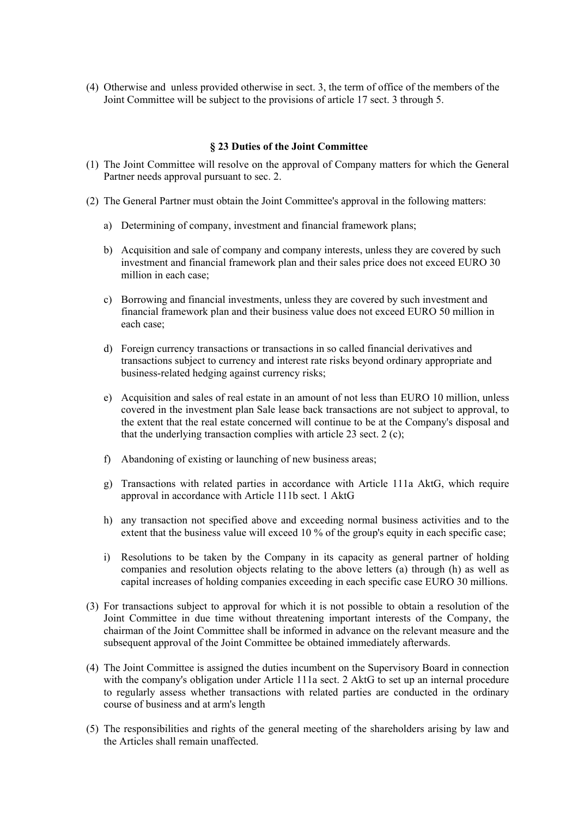(4) Otherwise and unless provided otherwise in sect. 3, the term of office of the members of the Joint Committee will be subject to the provisions of article 17 sect. 3 through 5.

## **§ 23 Duties of the Joint Committee**

- (1) The Joint Committee will resolve on the approval of Company matters for which the General Partner needs approval pursuant to sec. 2.
- (2) The General Partner must obtain the Joint Committee's approval in the following matters:
	- a) Determining of company, investment and financial framework plans;
	- b) Acquisition and sale of company and company interests, unless they are covered by such investment and financial framework plan and their sales price does not exceed EURO 30 million in each case;
	- c) Borrowing and financial investments, unless they are covered by such investment and financial framework plan and their business value does not exceed EURO 50 million in each case;
	- d) Foreign currency transactions or transactions in so called financial derivatives and transactions subject to currency and interest rate risks beyond ordinary appropriate and business-related hedging against currency risks;
	- e) Acquisition and sales of real estate in an amount of not less than EURO 10 million, unless covered in the investment plan Sale lease back transactions are not subject to approval, to the extent that the real estate concerned will continue to be at the Company's disposal and that the underlying transaction complies with article 23 sect. 2 (c);
	- f) Abandoning of existing or launching of new business areas;
	- g) Transactions with related parties in accordance with Article 111a AktG, which require approval in accordance with Article 111b sect. 1 AktG
	- h) any transaction not specified above and exceeding normal business activities and to the extent that the business value will exceed 10 % of the group's equity in each specific case;
	- i) Resolutions to be taken by the Company in its capacity as general partner of holding companies and resolution objects relating to the above letters (a) through (h) as well as capital increases of holding companies exceeding in each specific case EURO 30 millions.
- (3) For transactions subject to approval for which it is not possible to obtain a resolution of the Joint Committee in due time without threatening important interests of the Company, the chairman of the Joint Committee shall be informed in advance on the relevant measure and the subsequent approval of the Joint Committee be obtained immediately afterwards.
- (4) The Joint Committee is assigned the duties incumbent on the Supervisory Board in connection with the company's obligation under Article 111a sect. 2 AktG to set up an internal procedure to regularly assess whether transactions with related parties are conducted in the ordinary course of business and at arm's length
- (5) The responsibilities and rights of the general meeting of the shareholders arising by law and the Articles shall remain unaffected.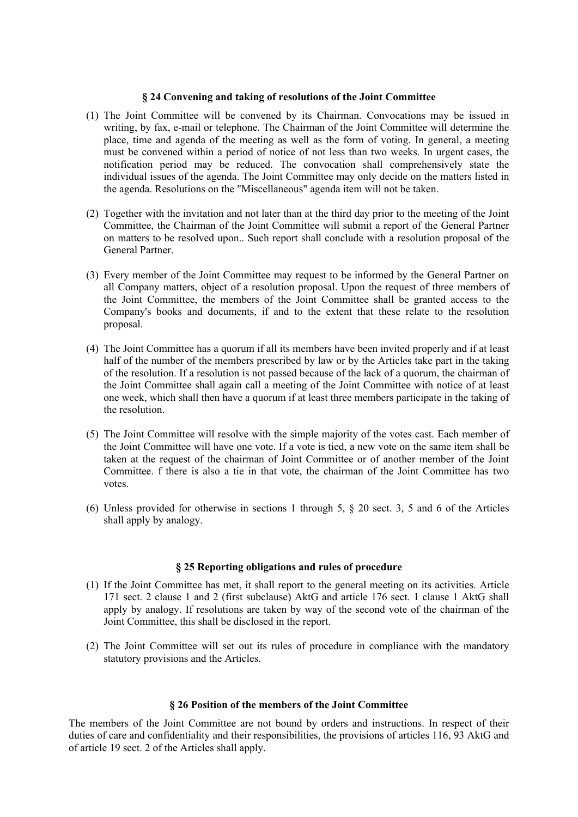#### **§ 24 Convening and taking of resolutions of the Joint Committee**

- (1) The Joint Committee will be convened by its Chairman. Convocations may be issued in writing, by fax, e-mail or telephone. The Chairman of the Joint Committee will determine the place, time and agenda of the meeting as well as the form of voting. In general, a meeting must be convened within a period of notice of not less than two weeks. In urgent cases, the notification period may be reduced. The convocation shall comprehensively state the individual issues of the agenda. The Joint Committee may only decide on the matters listed in the agenda. Resolutions on the "Miscellaneous" agenda item will not be taken.
- (2) Together with the invitation and not later than at the third day prior to the meeting of the Joint Committee, the Chairman of the Joint Committee will submit a report of the General Partner on matters to be resolved upon.. Such report shall conclude with a resolution proposal of the General Partner.
- (3) Every member of the Joint Committee may request to be informed by the General Partner on all Company matters, object of a resolution proposal. Upon the request of three members of the Joint Committee, the members of the Joint Committee shall be granted access to the Company's books and documents, if and to the extent that these relate to the resolution proposal.
- (4) The Joint Committee has a quorum if all its members have been invited properly and if at least half of the number of the members prescribed by law or by the Articles take part in the taking of the resolution. If a resolution is not passed because of the lack of a quorum, the chairman of the Joint Committee shall again call a meeting of the Joint Committee with notice of at least one week, which shall then have a quorum if at least three members participate in the taking of the resolution.
- (5) The Joint Committee will resolve with the simple majority of the votes cast. Each member of the Joint Committee will have one vote. If a vote is tied, a new vote on the same item shall be taken at the request of the chairman of Joint Committee or of another member of the Joint Committee. f there is also a tie in that vote, the chairman of the Joint Committee has two votes.
- (6) Unless provided for otherwise in sections 1 through 5, § 20 sect. 3, 5 and 6 of the Articles shall apply by analogy.

## **§ 25 Reporting obligations and rules of procedure**

- (1) If the Joint Committee has met, it shall report to the general meeting on its activities. Article 171 sect. 2 clause 1 and 2 (first subclause) AktG and article 176 sect. 1 clause 1 AktG shall apply by analogy. If resolutions are taken by way of the second vote of the chairman of the Joint Committee, this shall be disclosed in the report.
- (2) The Joint Committee will set out its rules of procedure in compliance with the mandatory statutory provisions and the Articles.

## **§ 26 Position of the members of the Joint Committee**

The members of the Joint Committee are not bound by orders and instructions. In respect of their duties of care and confidentiality and their responsibilities, the provisions of articles 116, 93 AktG and of article 19 sect. 2 of the Articles shall apply.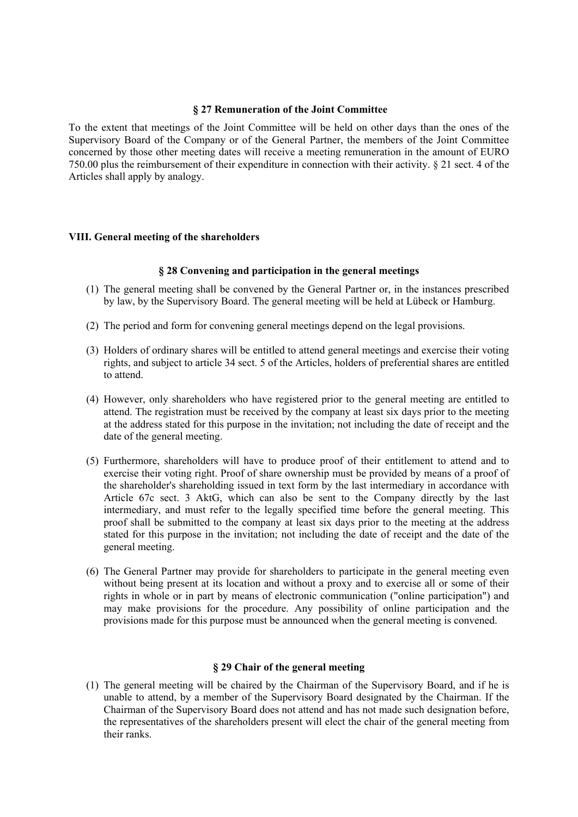#### **§ 27 Remuneration of the Joint Committee**

To the extent that meetings of the Joint Committee will be held on other days than the ones of the Supervisory Board of the Company or of the General Partner, the members of the Joint Committee concerned by those other meeting dates will receive a meeting remuneration in the amount of EURO 750.00 plus the reimbursement of their expenditure in connection with their activity. § 21 sect. 4 of the Articles shall apply by analogy.

## **VIII. General meeting of the shareholders**

## **§ 28 Convening and participation in the general meetings**

- (1) The general meeting shall be convened by the General Partner or, in the instances prescribed by law, by the Supervisory Board. The general meeting will be held at Lübeck or Hamburg.
- (2) The period and form for convening general meetings depend on the legal provisions.
- (3) Holders of ordinary shares will be entitled to attend general meetings and exercise their voting rights, and subject to article 34 sect. 5 of the Articles, holders of preferential shares are entitled to attend.
- (4) However, only shareholders who have registered prior to the general meeting are entitled to attend. The registration must be received by the company at least six days prior to the meeting at the address stated for this purpose in the invitation; not including the date of receipt and the date of the general meeting.
- (5) Furthermore, shareholders will have to produce proof of their entitlement to attend and to exercise their voting right. Proof of share ownership must be provided by means of a proof of the shareholder's shareholding issued in text form by the last intermediary in accordance with Article 67c sect. 3 AktG, which can also be sent to the Company directly by the last intermediary, and must refer to the legally specified time before the general meeting. This proof shall be submitted to the company at least six days prior to the meeting at the address stated for this purpose in the invitation; not including the date of receipt and the date of the general meeting.
- (6) The General Partner may provide for shareholders to participate in the general meeting even without being present at its location and without a proxy and to exercise all or some of their rights in whole or in part by means of electronic communication ("online participation") and may make provisions for the procedure. Any possibility of online participation and the provisions made for this purpose must be announced when the general meeting is convened.

## **§ 29 Chair of the general meeting**

(1) The general meeting will be chaired by the Chairman of the Supervisory Board, and if he is unable to attend, by a member of the Supervisory Board designated by the Chairman. If the Chairman of the Supervisory Board does not attend and has not made such designation before, the representatives of the shareholders present will elect the chair of the general meeting from their ranks.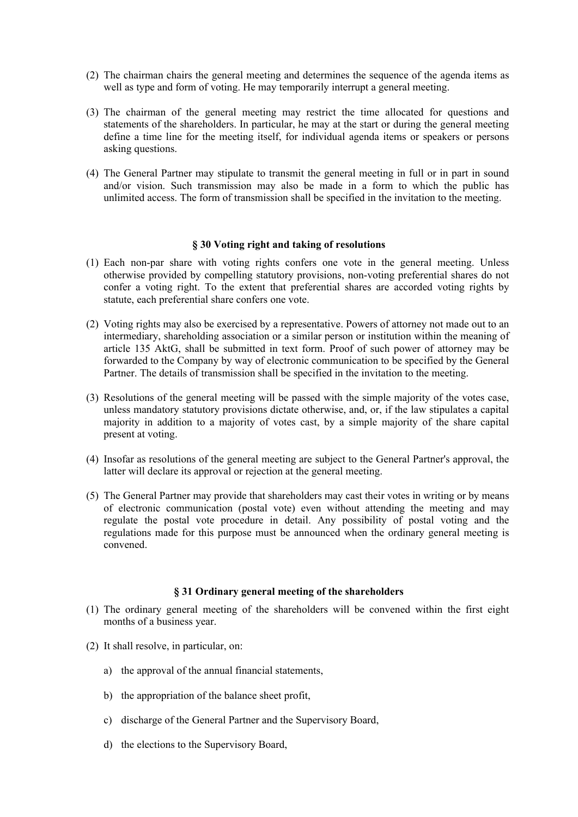- (2) The chairman chairs the general meeting and determines the sequence of the agenda items as well as type and form of voting. He may temporarily interrupt a general meeting.
- (3) The chairman of the general meeting may restrict the time allocated for questions and statements of the shareholders. In particular, he may at the start or during the general meeting define a time line for the meeting itself, for individual agenda items or speakers or persons asking questions.
- (4) The General Partner may stipulate to transmit the general meeting in full or in part in sound and/or vision. Such transmission may also be made in a form to which the public has unlimited access. The form of transmission shall be specified in the invitation to the meeting.

#### **§ 30 Voting right and taking of resolutions**

- (1) Each non-par share with voting rights confers one vote in the general meeting. Unless otherwise provided by compelling statutory provisions, non-voting preferential shares do not confer a voting right. To the extent that preferential shares are accorded voting rights by statute, each preferential share confers one vote.
- (2) Voting rights may also be exercised by a representative. Powers of attorney not made out to an intermediary, shareholding association or a similar person or institution within the meaning of article 135 AktG, shall be submitted in text form. Proof of such power of attorney may be forwarded to the Company by way of electronic communication to be specified by the General Partner. The details of transmission shall be specified in the invitation to the meeting.
- (3) Resolutions of the general meeting will be passed with the simple majority of the votes case, unless mandatory statutory provisions dictate otherwise, and, or, if the law stipulates a capital majority in addition to a majority of votes cast, by a simple majority of the share capital present at voting.
- (4) Insofar as resolutions of the general meeting are subject to the General Partner's approval, the latter will declare its approval or rejection at the general meeting.
- (5) The General Partner may provide that shareholders may cast their votes in writing or by means of electronic communication (postal vote) even without attending the meeting and may regulate the postal vote procedure in detail. Any possibility of postal voting and the regulations made for this purpose must be announced when the ordinary general meeting is convened.

## **§ 31 Ordinary general meeting of the shareholders**

- (1) The ordinary general meeting of the shareholders will be convened within the first eight months of a business year.
- (2) It shall resolve, in particular, on:
	- a) the approval of the annual financial statements,
	- b) the appropriation of the balance sheet profit,
	- c) discharge of the General Partner and the Supervisory Board,
	- d) the elections to the Supervisory Board,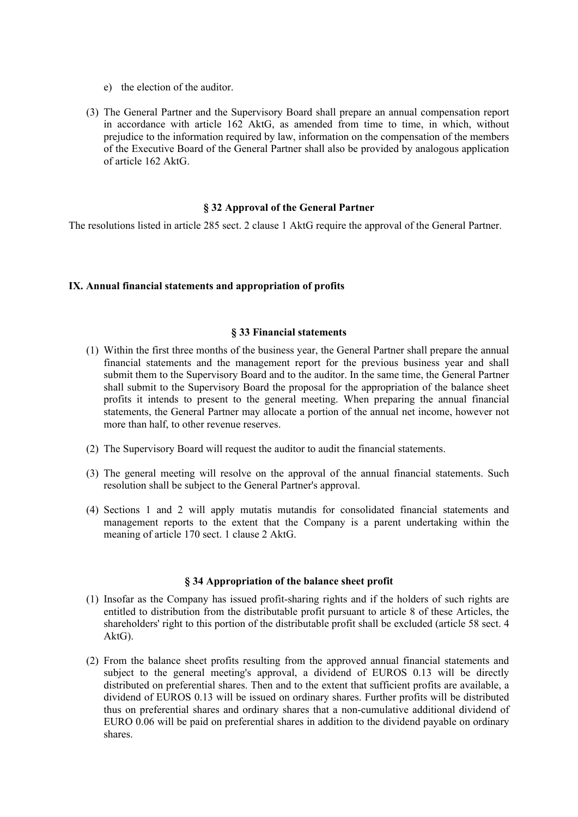- e) the election of the auditor.
- (3) The General Partner and the Supervisory Board shall prepare an annual compensation report in accordance with article 162 AktG, as amended from time to time, in which, without prejudice to the information required by law, information on the compensation of the members of the Executive Board of the General Partner shall also be provided by analogous application of article 162 AktG.

#### **§ 32 Approval of the General Partner**

The resolutions listed in article 285 sect. 2 clause 1 AktG require the approval of the General Partner.

#### **IX. Annual financial statements and appropriation of profits**

#### **§ 33 Financial statements**

- (1) Within the first three months of the business year, the General Partner shall prepare the annual financial statements and the management report for the previous business year and shall submit them to the Supervisory Board and to the auditor. In the same time, the General Partner shall submit to the Supervisory Board the proposal for the appropriation of the balance sheet profits it intends to present to the general meeting. When preparing the annual financial statements, the General Partner may allocate a portion of the annual net income, however not more than half, to other revenue reserves.
- (2) The Supervisory Board will request the auditor to audit the financial statements.
- (3) The general meeting will resolve on the approval of the annual financial statements. Such resolution shall be subject to the General Partner's approval.
- (4) Sections 1 and 2 will apply mutatis mutandis for consolidated financial statements and management reports to the extent that the Company is a parent undertaking within the meaning of article 170 sect. 1 clause 2 AktG.

## **§ 34 Appropriation of the balance sheet profit**

- (1) Insofar as the Company has issued profit-sharing rights and if the holders of such rights are entitled to distribution from the distributable profit pursuant to article 8 of these Articles, the shareholders' right to this portion of the distributable profit shall be excluded (article 58 sect. 4 AktG).
- (2) From the balance sheet profits resulting from the approved annual financial statements and subject to the general meeting's approval, a dividend of EUROS 0.13 will be directly distributed on preferential shares. Then and to the extent that sufficient profits are available, a dividend of EUROS 0.13 will be issued on ordinary shares. Further profits will be distributed thus on preferential shares and ordinary shares that a non-cumulative additional dividend of EURO 0.06 will be paid on preferential shares in addition to the dividend payable on ordinary shares.